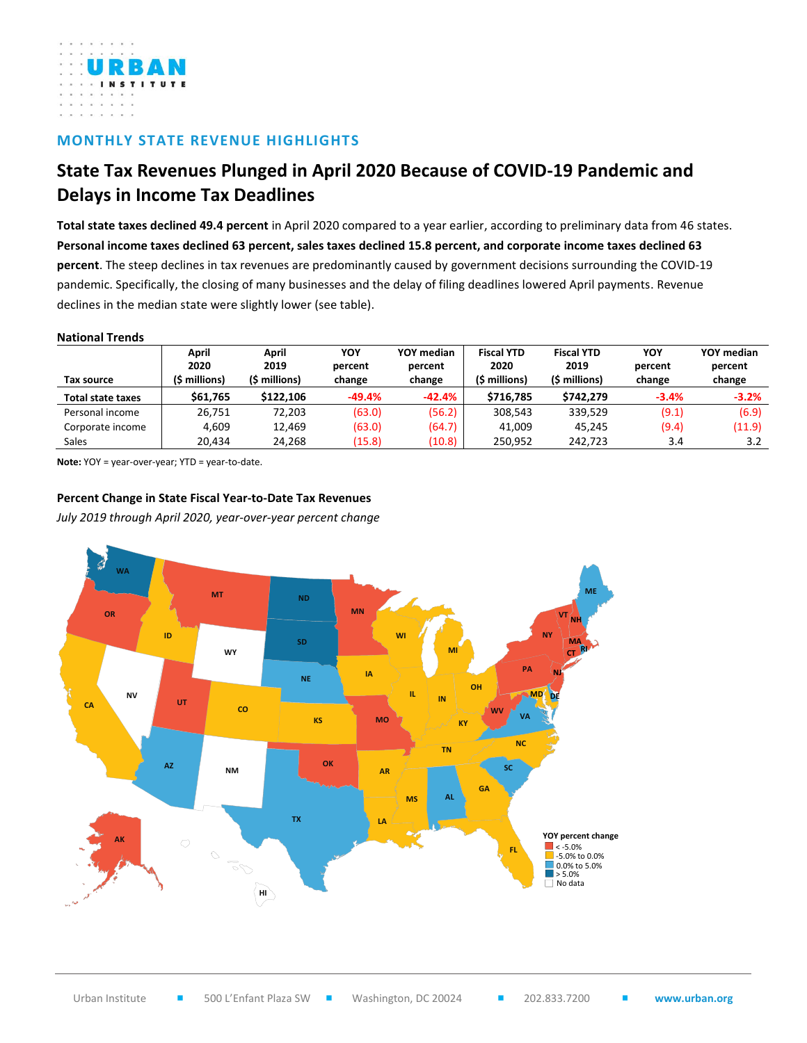

## **MONTHLY STATE REVENUE HIGHLIGHTS**

## **State Tax Revenues Plunged in April 2020 Because of COVID-19 Pandemic and Delays in Income Tax Deadlines**

**Total state taxes declined 49.4 percent** in April 2020 compared to a year earlier, according to preliminary data from 46 states. **Personal income taxes declined 63 percent, sales taxes declined 15.8 percent, and corporate income taxes declined 63 percent**. The steep declines in tax revenues are predominantly caused by government decisions surrounding the COVID-19 pandemic. Specifically, the closing of many businesses and the delay of filing deadlines lowered April payments. Revenue declines in the median state were slightly lower (see table).

## **National Trends**

|                          | April              | April         | YOY      | YOY median | <b>Fiscal YTD</b> | <b>Fiscal YTD</b> | YOY     | YOY median |
|--------------------------|--------------------|---------------|----------|------------|-------------------|-------------------|---------|------------|
|                          | 2020               | 2019          | percent  | percent    | 2020              | 2019              | percent | percent    |
| Tax source               | <b>S</b> millions) | (\$ millions) | change   | change     | (\$ millions)     | (\$ millions)     | change  | change     |
| <b>Total state taxes</b> | \$61.765           | \$122,106     | $-49.4%$ | $-42.4%$   | \$716.785         | \$742.279         | $-3.4%$ | $-3.2%$    |
| Personal income          | 26.751             | 72.203        | (63.0)   | (56.2)     | 308.543           | 339.529           | (9.1)   | (6.9)      |
| Corporate income         | 4.609              | 12,469        | (63.0)   | (64.7)     | 41.009            | 45.245            | (9.4)   | (11.9)     |
| Sales                    | 20.434             | 24.268        | (15.8)   | (10.8)     | 250.952           | 242.723           | 3.4     | 3.2        |

**Note:** YOY = year-over-year; YTD = year-to-date.

## **Percent Change in State Fiscal Year-to-Date Tax Revenues**

*July 2019 through April 2020, year-over-year percent change*